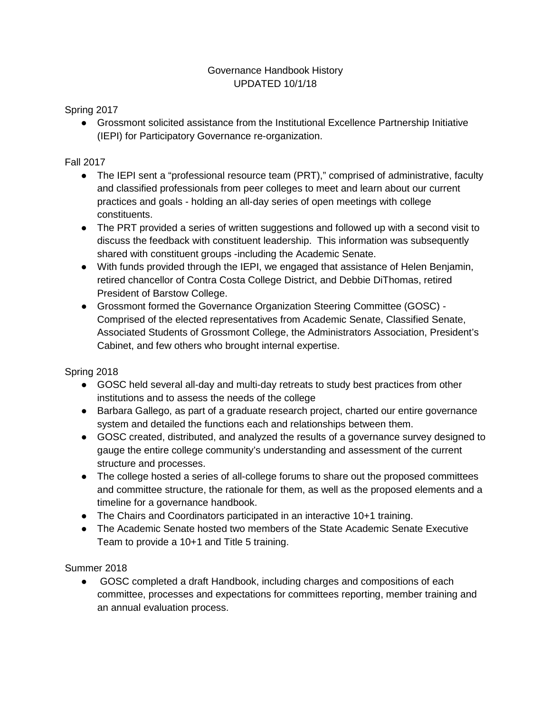## Governance Handbook History UPDATED 10/1/18

Spring 2017

● Grossmont solicited assistance from the Institutional Excellence Partnership Initiative (IEPI) for Participatory Governance re-organization.

## Fall 2017

- The IEPI sent a "professional resource team (PRT)," comprised of administrative, faculty and classified professionals from peer colleges to meet and learn about our current practices and goals - holding an all-day series of open meetings with college constituents.
- The PRT provided a series of written suggestions and followed up with a second visit to discuss the feedback with constituent leadership. This information was subsequently shared with constituent groups -including the Academic Senate.
- With funds provided through the IEPI, we engaged that assistance of Helen Benjamin, retired chancellor of Contra Costa College District, and Debbie DiThomas, retired President of Barstow College.
- Grossmont formed the Governance Organization Steering Committee (GOSC) Comprised of the elected representatives from Academic Senate, Classified Senate, Associated Students of Grossmont College, the Administrators Association, President's Cabinet, and few others who brought internal expertise.

Spring 2018

- GOSC held several all-day and multi-day retreats to study best practices from other institutions and to assess the needs of the college
- Barbara Gallego, as part of a graduate research project, charted our entire governance system and detailed the functions each and relationships between them.
- GOSC created, distributed, and analyzed the results of a governance survey designed to gauge the entire college community's understanding and assessment of the current structure and processes.
- The college hosted a series of all-college forums to share out the proposed committees and committee structure, the rationale for them, as well as the proposed elements and a timeline for a governance handbook.
- The Chairs and Coordinators participated in an interactive 10+1 training.
- The Academic Senate hosted two members of the State Academic Senate Executive Team to provide a 10+1 and Title 5 training.

Summer 2018

● GOSC completed a draft Handbook, including charges and compositions of each committee, processes and expectations for committees reporting, member training and an annual evaluation process.